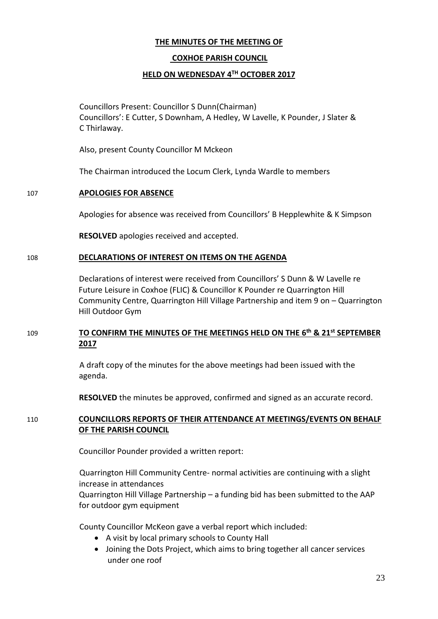# **THE MINUTES OF THE MEETING OF**

# **COXHOE PARISH COUNCIL**

## **HELD ON WEDNESDAY 4TH OCTOBER 2017**

Councillors Present: Councillor S Dunn(Chairman) Councillors': E Cutter, S Downham, A Hedley, W Lavelle, K Pounder, J Slater & C Thirlaway.

Also, present County Councillor M Mckeon

The Chairman introduced the Locum Clerk, Lynda Wardle to members

## 107 **APOLOGIES FOR ABSENCE**

Apologies for absence was received from Councillors' B Hepplewhite & K Simpson

**RESOLVED** apologies received and accepted.

#### 108 **DECLARATIONS OF INTEREST ON ITEMS ON THE AGENDA**

Declarations of interest were received from Councillors' S Dunn & W Lavelle re Future Leisure in Coxhoe (FLIC) & Councillor K Pounder re Quarrington Hill Community Centre, Quarrington Hill Village Partnership and item 9 on – Quarrington Hill Outdoor Gym

# 109 **TO CONFIRM THE MINUTES OF THE MEETINGS HELD ON THE 6 th & 21st SEPTEMBER 2017**

A draft copy of the minutes for the above meetings had been issued with the agenda.

**RESOLVED** the minutes be approved, confirmed and signed as an accurate record.

# 110 **COUNCILLORS REPORTS OF THEIR ATTENDANCE AT MEETINGS/EVENTS ON BEHALF OF THE PARISH COUNCIL**

Councillor Pounder provided a written report:

Quarrington Hill Community Centre- normal activities are continuing with a slight increase in attendances Quarrington Hill Village Partnership – a funding bid has been submitted to the AAP for outdoor gym equipment

County Councillor McKeon gave a verbal report which included:

- A visit by local primary schools to County Hall
- Joining the Dots Project, which aims to bring together all cancer services under one roof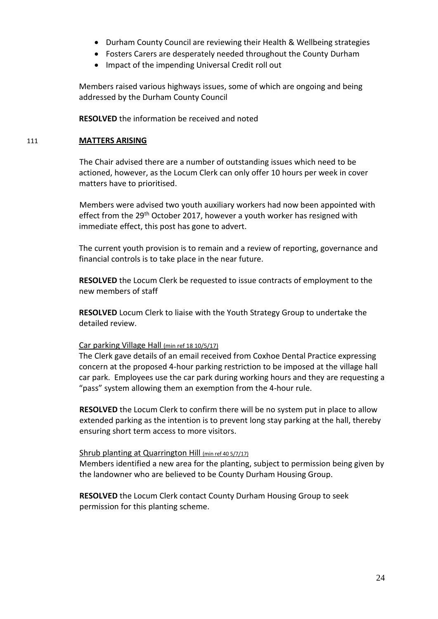- Durham County Council are reviewing their Health & Wellbeing strategies
- Fosters Carers are desperately needed throughout the County Durham
- Impact of the impending Universal Credit roll out

Members raised various highways issues, some of which are ongoing and being addressed by the Durham County Council

**RESOLVED** the information be received and noted

#### 111 **MATTERS ARISING**

The Chair advised there are a number of outstanding issues which need to be actioned, however, as the Locum Clerk can only offer 10 hours per week in cover matters have to prioritised.

Members were advised two youth auxiliary workers had now been appointed with effect from the 29<sup>th</sup> October 2017, however a youth worker has resigned with immediate effect, this post has gone to advert.

The current youth provision is to remain and a review of reporting, governance and financial controls is to take place in the near future.

**RESOLVED** the Locum Clerk be requested to issue contracts of employment to the new members of staff

**RESOLVED** Locum Clerk to liaise with the Youth Strategy Group to undertake the detailed review.

## Car parking Village Hall (min ref 18 10/5/17)

The Clerk gave details of an email received from Coxhoe Dental Practice expressing concern at the proposed 4-hour parking restriction to be imposed at the village hall car park. Employees use the car park during working hours and they are requesting a "pass" system allowing them an exemption from the 4-hour rule.

**RESOLVED** the Locum Clerk to confirm there will be no system put in place to allow extended parking as the intention is to prevent long stay parking at the hall, thereby ensuring short term access to more visitors.

#### Shrub planting at Quarrington Hill (min ref 40 5/7/17)

Members identified a new area for the planting, subject to permission being given by the landowner who are believed to be County Durham Housing Group.

**RESOLVED** the Locum Clerk contact County Durham Housing Group to seek permission for this planting scheme.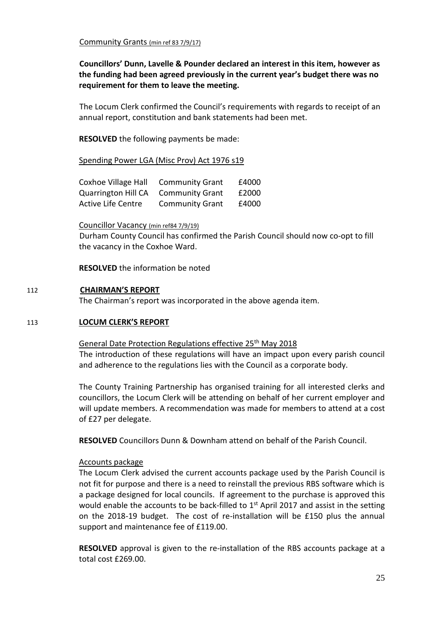**Councillors' Dunn, Lavelle & Pounder declared an interest in this item, however as the funding had been agreed previously in the current year's budget there was no requirement for them to leave the meeting.**

The Locum Clerk confirmed the Council's requirements with regards to receipt of an annual report, constitution and bank statements had been met.

**RESOLVED** the following payments be made:

Spending Power LGA (Misc Prov) Act 1976 s19

| Coxhoe Village Hall        | <b>Community Grant</b> | £4000 |
|----------------------------|------------------------|-------|
| <b>Quarrington Hill CA</b> | <b>Community Grant</b> | £2000 |
| <b>Active Life Centre</b>  | <b>Community Grant</b> | £4000 |

Councillor Vacancy (min ref84 7/9/19)

Durham County Council has confirmed the Parish Council should now co-opt to fill the vacancy in the Coxhoe Ward.

**RESOLVED** the information be noted

#### 112 **CHAIRMAN'S REPORT**

The Chairman's report was incorporated in the above agenda item.

### 113 **LOCUM CLERK'S REPORT**

General Date Protection Regulations effective 25<sup>th</sup> May 2018

The introduction of these regulations will have an impact upon every parish council and adherence to the regulations lies with the Council as a corporate body.

The County Training Partnership has organised training for all interested clerks and councillors, the Locum Clerk will be attending on behalf of her current employer and will update members. A recommendation was made for members to attend at a cost of £27 per delegate.

**RESOLVED** Councillors Dunn & Downham attend on behalf of the Parish Council.

#### Accounts package

The Locum Clerk advised the current accounts package used by the Parish Council is not fit for purpose and there is a need to reinstall the previous RBS software which is a package designed for local councils. If agreement to the purchase is approved this would enable the accounts to be back-filled to  $1<sup>st</sup>$  April 2017 and assist in the setting on the 2018-19 budget. The cost of re-installation will be £150 plus the annual support and maintenance fee of £119.00.

**RESOLVED** approval is given to the re-installation of the RBS accounts package at a total cost £269.00.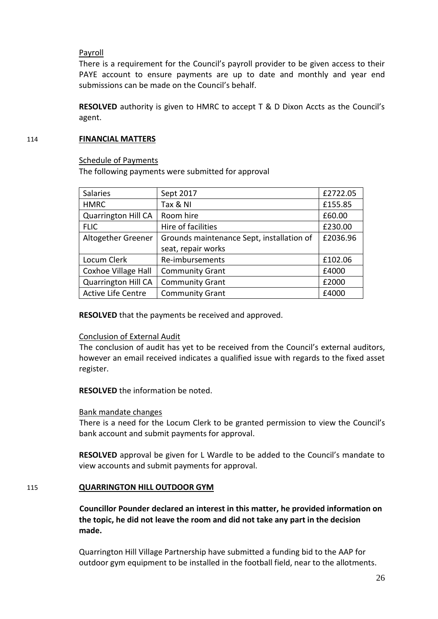# Payroll

There is a requirement for the Council's payroll provider to be given access to their PAYE account to ensure payments are up to date and monthly and year end submissions can be made on the Council's behalf.

**RESOLVED** authority is given to HMRC to accept T & D Dixon Accts as the Council's agent.

### 114 **FINANCIAL MATTERS**

#### Schedule of Payments

The following payments were submitted for approval

| <b>Salaries</b>            | Sept 2017                                 | £2722.05 |
|----------------------------|-------------------------------------------|----------|
| <b>HMRC</b>                | Tax & NI                                  | £155.85  |
| <b>Quarrington Hill CA</b> | Room hire                                 | £60.00   |
| <b>FLIC</b>                | Hire of facilities                        | £230.00  |
| Altogether Greener         | Grounds maintenance Sept, installation of | £2036.96 |
|                            | seat, repair works                        |          |
| Locum Clerk                | Re-imbursements                           | £102.06  |
| <b>Coxhoe Village Hall</b> | <b>Community Grant</b>                    | £4000    |
| <b>Quarrington Hill CA</b> | <b>Community Grant</b>                    | £2000    |
| Active Life Centre         | <b>Community Grant</b>                    | £4000    |

**RESOLVED** that the payments be received and approved.

## Conclusion of External Audit

The conclusion of audit has yet to be received from the Council's external auditors, however an email received indicates a qualified issue with regards to the fixed asset register.

**RESOLVED** the information be noted.

## Bank mandate changes

There is a need for the Locum Clerk to be granted permission to view the Council's bank account and submit payments for approval.

**RESOLVED** approval be given for L Wardle to be added to the Council's mandate to view accounts and submit payments for approval.

## 115 **QUARRINGTON HILL OUTDOOR GYM**

**Councillor Pounder declared an interest in this matter, he provided information on the topic, he did not leave the room and did not take any part in the decision made.**

Quarrington Hill Village Partnership have submitted a funding bid to the AAP for outdoor gym equipment to be installed in the football field, near to the allotments.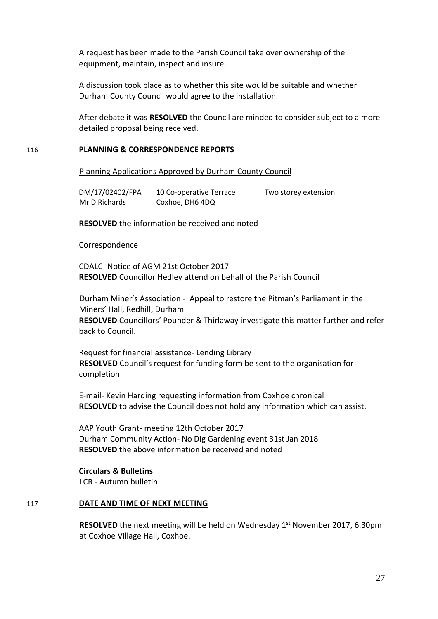A request has been made to the Parish Council take over ownership of the equipment, maintain, inspect and insure.

A discussion took place as to whether this site would be suitable and whether Durham County Council would agree to the installation.

After debate it was **RESOLVED** the Council are minded to consider subject to a more detailed proposal being received.

#### 116 **PLANNING & CORRESPONDENCE REPORTS**

Planning Applications Approved by Durham County Council

 DM/17/02402/FPA 10 Co-operative Terrace Two storey extension Mr D Richards Coxhoe, DH6 4DQ

**RESOLVED** the information be received and noted

#### Correspondence

CDALC- Notice of AGM 21st October 2017 **RESOLVED** Councillor Hedley attend on behalf of the Parish Council

Durham Miner's Association - Appeal to restore the Pitman's Parliament in the Miners' Hall, Redhill, Durham **RESOLVED** Councillors' Pounder & Thirlaway investigate this matter further and refer back to Council.

Request for financial assistance- Lending Library **RESOLVED** Council's request for funding form be sent to the organisation for completion

E-mail- Kevin Harding requesting information from Coxhoe chronical **RESOLVED** to advise the Council does not hold any information which can assist.

AAP Youth Grant- meeting 12th October 2017 Durham Community Action- No Dig Gardening event 31st Jan 2018 **RESOLVED** the above information be received and noted

#### **Circulars & Bulletins**

LCR - Autumn bulletin

#### 117 **DATE AND TIME OF NEXT MEETING**

**RESOLVED** the next meeting will be held on Wednesday 1<sup>st</sup> November 2017, 6.30pm at Coxhoe Village Hall, Coxhoe.